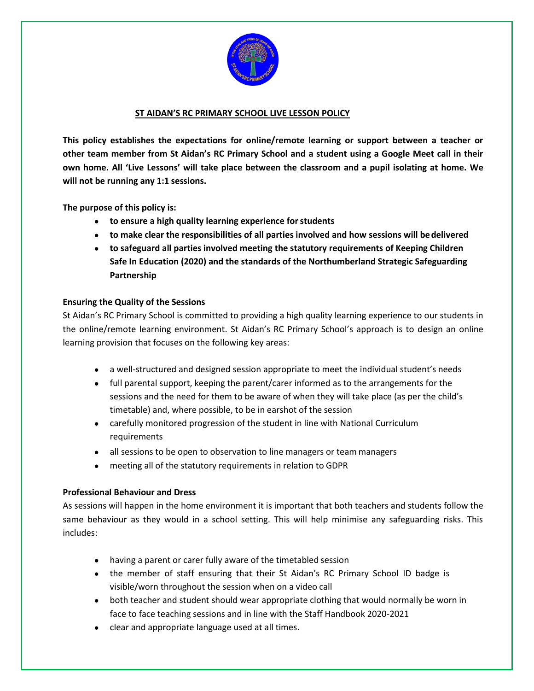

### **ST AIDAN'S RC PRIMARY SCHOOL LIVE LESSON POLICY**

**This policy establishes the expectations for online/remote learning or support between a teacher or other team member from St Aidan's RC Primary School and a student using a Google Meet call in their own home. All 'Live Lessons' will take place between the classroom and a pupil isolating at home. We will not be running any 1:1 sessions.**

**The purpose of this policy is:**

- **to ensure a high quality learning experience forstudents**
- **to make clear the responsibilities of all parties involved and how sessions will bedelivered**
- **to safeguard all parties involved meeting the statutory requirements of Keeping Children Safe In Education (2020) and the standards of the Northumberland Strategic Safeguarding Partnership**

### **Ensuring the Quality of the Sessions**

St Aidan's RC Primary School is committed to providing a high quality learning experience to our students in the online/remote learning environment. St Aidan's RC Primary School's approach is to design an online learning provision that focuses on the following key areas:

- a well-structured and designed session appropriate to meet the individual student's needs
- full parental support, keeping the parent/carer informed as to the arrangements for the sessions and the need for them to be aware of when they will take place (as per the child's timetable) and, where possible, to be in earshot of the session
- carefully monitored progression of the student in line with National Curriculum requirements
- all sessions to be open to observation to line managers or team managers
- meeting all of the statutory requirements in relation to GDPR

### **Professional Behaviour and Dress**

As sessions will happen in the home environment it is important that both teachers and students follow the same behaviour as they would in a school setting. This will help minimise any safeguarding risks. This includes:

- having a parent or carer fully aware of the timetabled session
- the member of staff ensuring that their St Aidan's RC Primary School ID badge is visible/worn throughout the session when on a video call
- both teacher and student should wear appropriate clothing that would normally be worn in face to face teaching sessions and in line with the Staff Handbook 2020-2021
- clear and appropriate language used at all times.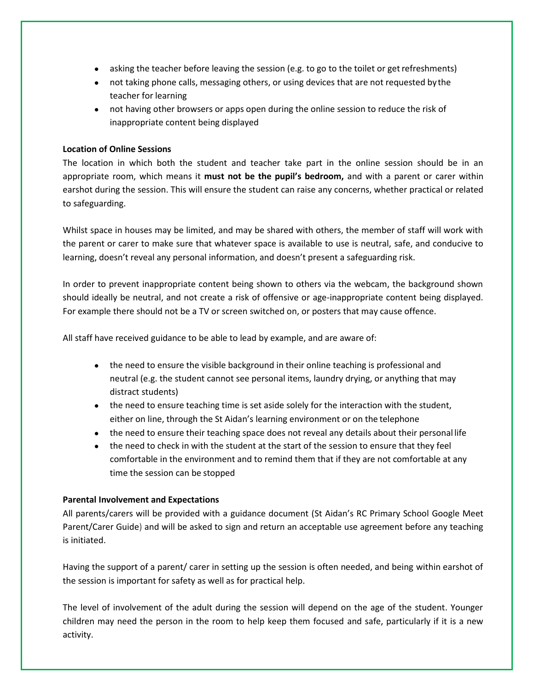- asking the teacher before leaving the session (e.g. to go to the toilet or get refreshments)
- not taking phone calls, messaging others, or using devices that are not requested bythe teacher for learning
- not having other browsers or apps open during the online session to reduce the risk of inappropriate content being displayed

### **Location of Online Sessions**

The location in which both the student and teacher take part in the online session should be in an appropriate room, which means it **must not be the pupil's bedroom,** and with a parent or carer within earshot during the session. This will ensure the student can raise any concerns, whether practical or related to safeguarding.

Whilst space in houses may be limited, and may be shared with others, the member of staff will work with the parent or carer to make sure that whatever space is available to use is neutral, safe, and conducive to learning, doesn't reveal any personal information, and doesn't present a safeguarding risk.

In order to prevent inappropriate content being shown to others via the webcam, the background shown should ideally be neutral, and not create a risk of offensive or age-inappropriate content being displayed. For example there should not be a TV or screen switched on, or posters that may cause offence.

All staff have received guidance to be able to lead by example, and are aware of:

- the need to ensure the visible background in their online teaching is professional and neutral (e.g. the student cannot see personal items, laundry drying, or anything that may distract students)
- the need to ensure teaching time is set aside solely for the interaction with the student, either on line, through the St Aidan's learning environment or on the telephone
- the need to ensure their teaching space does not reveal any details about their personal life
- the need to check in with the student at the start of the session to ensure that they feel comfortable in the environment and to remind them that if they are not comfortable at any time the session can be stopped

### **Parental Involvement and Expectations**

All parents/carers will be provided with a guidance document (St Aidan's RC Primary School Google Meet Parent/Carer Guide) and will be asked to sign and return an acceptable use agreement before any teaching is initiated.

Having the support of a parent/ carer in setting up the session is often needed, and being within earshot of the session is important for safety as well as for practical help.

The level of involvement of the adult during the session will depend on the age of the student. Younger children may need the person in the room to help keep them focused and safe, particularly if it is a new activity.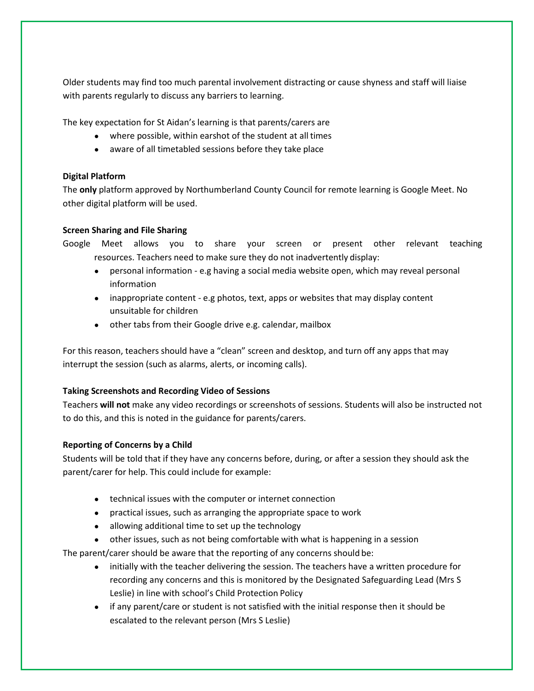Older students may find too much parental involvement distracting or cause shyness and staff will liaise with parents regularly to discuss any barriers to learning.

The key expectation for St Aidan's learning is that parents/carers are

- where possible, within earshot of the student at all times
- aware of all timetabled sessions before they take place

# **Digital Platform**

The **only** platform approved by Northumberland County Council for remote learning is Google Meet. No other digital platform will be used.

### **Screen Sharing and File Sharing**

Google Meet allows you to share your screen or present other relevant teaching resources. Teachers need to make sure they do not inadvertently display:

- personal information e.g having a social media website open, which may reveal personal information
- inappropriate content e.g photos, text, apps or websites that may display content unsuitable for children
- other tabs from their Google drive e.g. calendar, mailbox

For this reason, teachers should have a "clean" screen and desktop, and turn off any apps that may interrupt the session (such as alarms, alerts, or incoming calls).

# **Taking Screenshots and Recording Video of Sessions**

Teachers **will not** make any video recordings or screenshots of sessions. Students will also be instructed not to do this, and this is noted in the guidance for parents/carers.

# **Reporting of Concerns by a Child**

Students will be told that if they have any concerns before, during, or after a session they should ask the parent/carer for help. This could include for example:

- technical issues with the computer or internet connection
- practical issues, such as arranging the appropriate space to work
- allowing additional time to set up the technology
- other issues, such as not being comfortable with what is happening in a session

The parent/carer should be aware that the reporting of any concerns should be:

- initially with the teacher delivering the session. The teachers have a written procedure for recording any concerns and this is monitored by the Designated Safeguarding Lead (Mrs S Leslie) in line with school's Child Protection Policy
- if any parent/care or student is not satisfied with the initial response then it should be escalated to the relevant person (Mrs S Leslie)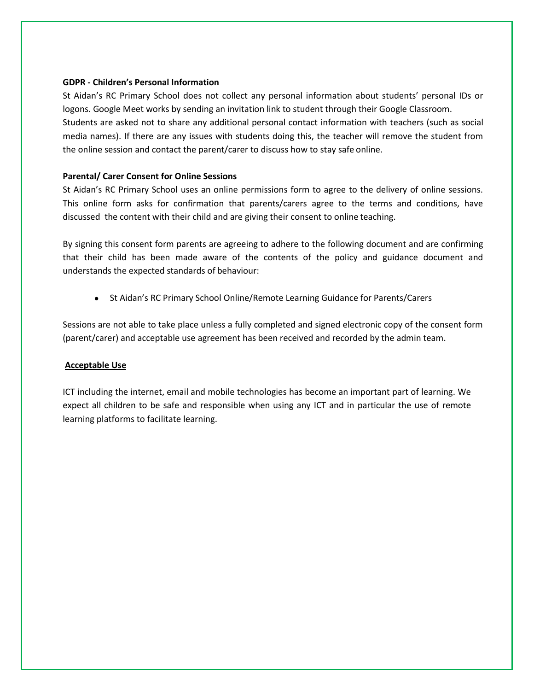### **GDPR - Children's Personal Information**

St Aidan's RC Primary School does not collect any personal information about students' personal IDs or logons. Google Meet works by sending an invitation link to student through their Google Classroom. Students are asked not to share any additional personal contact information with teachers (such as social media names). If there are any issues with students doing this, the teacher will remove the student from the online session and contact the parent/carer to discuss how to stay safe online.

### **Parental/ Carer Consent for Online Sessions**

St Aidan's RC Primary School uses an online permissions form to agree to the delivery of online sessions. This online form asks for confirmation that parents/carers agree to the terms and conditions, have discussed the content with their child and are giving their consent to online teaching.

By signing this consent form parents are agreeing to adhere to the following document and are confirming that their child has been made aware of the contents of the policy and guidance document and understands the expected standards of behaviour:

● St Aidan's RC Primary School Online/Remote Learning Guidance for Parents/Carers

Sessions are not able to take place unless a fully completed and signed electronic copy of the consent form (parent/carer) and acceptable use agreement has been received and recorded by the admin team.

### **Acceptable Use**

ICT including the internet, email and mobile technologies has become an important part of learning. We expect all children to be safe and responsible when using any ICT and in particular the use of remote learning platforms to facilitate learning.